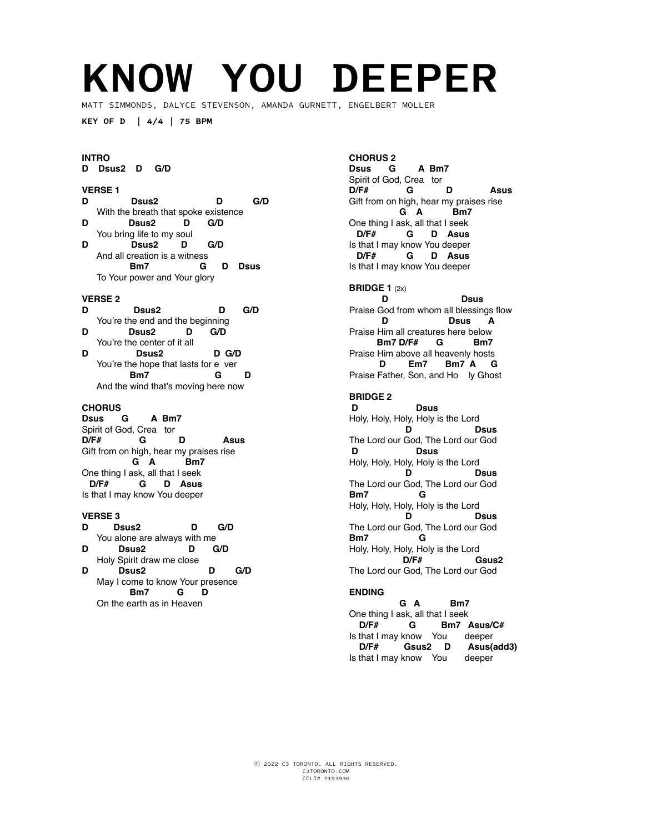# **KNOW YOU DEEPER**

MATT SIMMONDS, DALYCE STEVENSON, AMANDA GURNETT, ENGELBERT MOLLER

**KEY OF D | 4/4 | 75 BPM**

### **INTRO**

**D Dsus2 D G/D** 

### **VERSE 1**

- **D Dsus2 D G/D**  With the breath that spoke existence<br>D  $DSus2$  D  $G/D$ Dsus2 D You bring life to my soul
- **D Dsus2 D G/D**  And all creation is a witness  **Bm7 G D Dsus**  To Your power and Your glory

### **VERSE 2**

- **D Dsus2 D G/D**  You're the end and the beginning<br> **D D D D C**/D
- **D Dsus2 D G/D**  You're the center of it all<br>D<br>D<br>Sus2 **D Dsus2 D G/D** You're the hope that lasts for e ver  **Bm7 G D**
- And the wind that's moving here now

### **CHORUS**

**Dsus G A Bm7**  Spirit of God, Crea tor<br>D/F# **G** G D Asus Gift from on high, hear my praises rise  **G A Bm7**  One thing I ask, all that I seek  **D/F# G D Asus**  Is that I may know You deeper

## **VERSE 3**

- D sus2 D G/D You alone are always with me<br> $\overline{D}$   $\overline{D}$   $\overline{D}$   $\overline{G}$ D Sus2 D G/D Holy Spirit draw me close
- **D Dsus2 D G/D**  May I come to know Your presence  **Bm7 G D**  On the earth as in Heaven

### **CHORUS 2 Dsus G A Bm7**  Spirit of God, Crea tor **D/F# G D Asus**  Gift from on high, hear my praises rise  **G A Bm7**  One thing I ask, all that I seek  **D/F# G D Asus**  Is that I may know You deeper  **D/F# G D Asus**  Is that I may know You deeper

**BRIDGE 1 (2x)**<br>**D D Dsus**  Praise God from whom all blessings flow  **D Dsus A**  Praise Him all creatures here below  **Bm7 D/F# G Bm7** Praise Him above all heavenly hosts  **D Em7 Bm7 A G** Praise Father, Son, and Ho ly Ghost

## **BRIDGE 2**

 **D Dsus**  Holy, Holy, Holy, Holy is the Lord **D Dsus**  The Lord our God, The Lord our God  **D Dsus**  Holy, Holy, Holy, Holy is the Lord<br>**D** Dsus **D Dsus**  The Lord our God, The Lord our God<br> **Bm7** G **Bm7 G**  Holy, Holy, Holy, Holy is the Lord<br>**D D Dsus**  The Lord our God, The Lord our God **Bm7 G**  Holy, Holy, Holy, Holy is the Lord  **D/F# Gsus2**  The Lord our God, The Lord our God

### **ENDING**

 **G A Bm7**  One thing I ask, all that I seek  **D/F# G Bm7 Asus/C#**  Is that I may know You deeper  **D/F# Gsus2 D Asus(add3)**  Is that I may know You deeper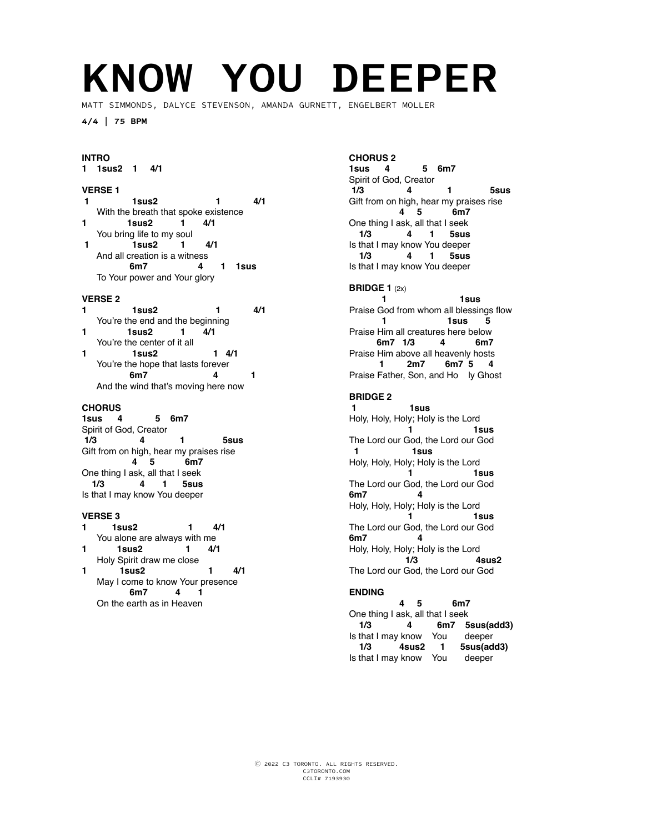# **KNOW YOU DEEPER**

MATT SIMMONDS, DALYCE STEVENSON, AMANDA GURNETT, ENGELBERT MOLLER

**4/4 | 75 BPM**

### **INTRO**

**1 1sus2 1 4/1** 

### **VERSE 1**

- **1 1sus2 1 4/1** With the breath that spoke existence<br>1  $\frac{1}{1}$  1  $\frac{1}{1}$  4/1 **1 1sus2 1 4/1**
- You bring life to my soul  **1 1sus2 1 4/1** And all creation is a witness
- **6m7 4 1 1sus** To Your power and Your glory

### **VERSE 2**

- **1 1sus2 1 4/1** You're the end and the beginning
- **1 1sus2 1 4/1** You're the center of it all
- **1 1sus2 1 4/1** You're the hope that lasts forever  **6m7 4 1**  And the wind that's moving here now

### **CHORUS**

**1sus 4 5 6m7**  Spirit of God, Creator  **1/3 4 1 5sus**  Gift from on high, hear my praises rise  **4 5 6m7**  One thing I ask, all that I seek  **1/3 4 1 5sus**  Is that I may know You deeper

- **VERSE 3 1** 4/1 You alone are always with me
- **1 1sus2 1 4/1** Holy Spirit draw me close **1 1sus2 1 4/1**
- May I come to know Your presence  **6m7 4 1**  On the earth as in Heaven

### **CHORUS 2**

**1sus 4 5 6m7**  Spirit of God, Creator  **1/3 4 1 5sus**  Gift from on high, hear my praises rise  **4 5 6m7**  One thing I ask, all that I seek  **1/3 4 1 5sus**  Is that I may know You deeper  **1/3 4 1 5sus**  Is that I may know You deeper

### **BRIDGE 1** (2x)

**1** 1sus Praise God from whom all blessings flow  **1 1sus 5**  Praise Him all creatures here below  **6m7 1/3 4 6m7** Praise Him above all heavenly hosts  **1 2m7 6m7 5 4** Praise Father, Son, and Ho ly Ghost

### **BRIDGE 2**

 **1 1sus**  Holy, Holy, Holy; Holy is the Lord  **1 1sus**  The Lord our God, the Lord our God  **1 1sus**  Holy, Holy, Holy; Holy is the Lord<br>1s  **1 1sus**  The Lord our God, the Lord our God<br>6m7 4 **6m7 4**  Holy, Holy, Holy; Holy is the Lord  **1 1sus**  The Lord our God, the Lord our God **6m7 4**  Holy, Holy, Holy; Holy is the Lord<br>1/3 4sus2 **1/3** The Lord our God, the Lord our God

### **ENDING**

 **4 5 6m7**  One thing I ask, all that I seek  **1/3 4 6m7 5sus(add3)**  Is that I may know You deeper  **1/3 4sus2 1 5sus(add3)**  Is that I may know You deeper